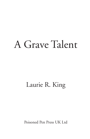# A Grave Talent

## Laurie R. King

Poisoned Pen Press UK Ltd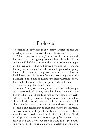#### Prologue

The first small body was found by Tommy Chesler one cold and drizzling afternoon two weeks before Christmas.

Before dawn that morning Tommy had left his cabin with his venerable and marginally accurate deer rifle under his arm and a handful of shells in his pocket, his heart set on a supply of illicit venison. He had no license, it was not the season, and hunting was absolutely forbidden where he planned on going, but that did not worry Tommy. Not much, at any rate. However, he did exercise a fair degree of caution, lest a ranger from the park happen upon him, and he stuck to areas where nobody was likely to be that time of the year, particularly in the rain.

Unfortunately, that included the deer.

At one o'clock, wet through, hungry, and in as bad a temper as he was capable of, Tommy turned for home. Two hours later he was pulling himself hand and foot up the greasy, nearly vertical path made by generations of agile hooves toward the telltale clearing in the trees that meant the Road rising atop the hill above him. He shook his head in disgust at the fresh prints and droppings and decided that he'd just have to go to the Newborns and ask for some of the pig they'd slaughtered last week. Trade some firewood, maybe, or split shakes for their addition. Truth to tell, pork was better than venison anyway. Venison you could roast or you could stew, but most of it had to be given away, and you got tired soon enough of what was left. But pork, now.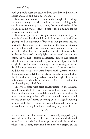Pork you could roast and stew, and you could fry and mix with apples and eggs, and make bacon, and—.

Tommy's mouth started to water at the thought of cracklings and red-eye gravy, and when he heard a quick scuffling noise and half saw something lying twenty feet from the edge of the Road, his mind was so occupied that it took a minute for his eyes and ears to interrupt.

Tommy stopped dead, his right foot already touching the jumble of scree that the bulldozer had pushed over in the last grading, and an expression of laborious thought came into his normally blank face. Tommy was not, at the best of times, a man who found reflection easy, and now, tired and distracted, he pulled off his hat and rumpled up his hair as if to stimulate his brains. He wasn't stupid; Tyler had reassured him on that point. He was just—careful. Deliberate. Perhaps that explains why Tommy did not immediately turn to the object that had caught his eye but stood for a long moment looking up at the Road. Perhaps there was some other reason. However, turn back he did, deliberately. There was a further scuffle (weasel, Tommy thought automatically) that moved away rapidly through the low shrubs; with care Tommy walked around a tangle of dormant poison oak, and there before him was a foot, the remains of a small, cold, gray, naked foot.

His eyes focused with great concentration on the delicate, round nail of the littlest toe, so as not to have to look at what that toenail was attached to, and the thought came firmly into his mind that he really wished he'd stayed home that morning and worked on the roof instead of coming out here illegally hunting for deer, and when his thoughts marched inexorably on to the idea of ham, Tommy Chesler was suddenly very, very ill.

 $\Diamond \Diamond \Diamond$ 

It took some time, but his stomach eventually stopped trying to crawl out of his throat. He rinsed his mouth with the cold water from the little flask he always carried and tried to think what to do. Tommy may have been none too bright, but he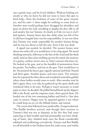was a gentle man, and he loved children. Without looking too closely at why, he knew he did not want to leave this spot to fetch help—from the freshness of some of the spoor (weasel, yes, and fox and—) there might be nothing to come back to. Another man would perhaps have shrugged his shoulders and gone on down the trail, unwilling to display his deer rifle to all and sundry, but not Tommy. As clearly as if she (or was it a he?) had spoken, Tommy knew that this child, what was left of her (it did have longish hair) was his responsibility. It was not often that Tommy was made responsible for another human being, and he was not about to fail this one. Even if she was dead.

A signal was needed, he decided. The nearest houses were about two miles off, so it would have to be a big signal. He stood thinking intensely, oblivious to the bite of the wind and the thick smell, until an idea came trickling up into his mind, the memory of a grainy cowboy movie seen on Tyler's ancient television set. He looked at his gun, and at the handful of ammunition from his pocket. Ten bullets, and one in the gun. They would have to do. He pointed the heavy gun vaguely upward and fired. Paused and fired again. Another pause, and once more. Two minutes later he repeated the three shots and wondered somewhat guiltily where those bullets would come to earth. After another wait he did it again; then, ever tidy, he gathered up the spent shells and wondered what to do next. Perhaps it wasn't necessary to stand quite so close, he decided. He pulled himself back up the slippery hill to the Road, and the response came: three spaced shots. He loaded one of the two remaining bullets and fired it. One shot came in answer. Happy now, he squatted against a tree where he could keep an eye on the hillside below, and waited.

The events that followed were predictable, if unprecedented. The Riddle brothers arrived, and though their reaction to Tommy's find was not as dramatic as his (for they had come expecting to find trouble and had presumably not been thinking of ham), they climbed back onto the Road considerably subdued and swallowing convulsively. Tommy and Ben Riddle set off downhill to the Dodson farm five miles away, and within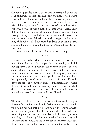the hour a pigtailed Amy Dodson was skittering off down the road on her sure-footed little hill pony, Matilda, toward Tyler's Barn and a telephone, four miles further. It was nearly midnight before the police teams arrived at the earthly remains of Tina Merrill, having lost one four-wheel-drive vehicle and its driver (who was flown out with a broken leg) into Tyler's Creek. They did not know the name of the child at first, of course. It took a couple of days to match the dental X rays and the traces of a long-healed fracture of the right arm with the gap-toothed grinning child who looked out from hundreds of bulletin boards and telephone poles throughout the Bay Area, but the identity was certain.

It was not a good Christmas for the Merrill family.

 $\Diamond \Diamond$ 

Because Tina's body had been out on the hillside for so long, it was difficult for the pathology people to be certain, but it did not appear that she had been abused in any way before she was strangled. She had vanished in San Francisco on her way home from school, on the Wednesday after Thanksgiving, and was left in the woods not too many days after that. Her murderer had apparently carried her naked body to this spot half a mile down the fire road from where it entered the state reserve, where Tommy Chesler found her ten days later. The overworked detective who was handed her case held out little hope of an immediate arrest. His name was Alonzo Hawkin.

#### $\Diamond \Diamond \Diamond$

The second child was found six weeks later, fifteen miles away as the crow flies, and in considerably fresher condition. The couple who found her had nothing in common with Tommy Chesler other than the profound wish afterwards that they had done something else on that particular day. It had been a gorgeous morning, a brilliant day following a week of rain, and they had awakened to an impulsive decision to call in sick from their jobs, throw some Brie, sourdough, and Riesling into the insulated bag,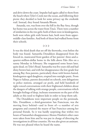and drive down the coast. Impulse had again called to them from the beach where Tyler's Creek met the ocean, and following their picnic they decided to look for some privacy up the creekside trail. Instead, they found Amanda Bloom.

Amanda, too, was from over the hill in the Bay Area, though her home was across the water from Tina's. There were a number of similarities in the two girls: both of them were in kindergarten, both were white girls with brown hair, both were from uppermiddle-class families. And both of them had walked home from their schools.

 $\Diamond \Diamond \Diamond$ 

It was the third death that set off the fireworks, even before the body was found. Samantha Donaldson disappeared from the fenced-in, manicured front garden of her parents' three-and-aquarter-million-dollar home in the hills above Palo Alto on a sunny Monday in February. She reappeared some hours later, quite dead, on Tyler's Road. Samantha was five years old and had shiny brown hair, and with her disappearance the low-grade fear among Bay Area parents, particularly those with brown-haired, kindergarten-aged daughters, erupted into outright panic. From Napa to Salinas, parents descended on schools, sent delegations to police stations, arranged car pools, and held hundreds of tight-voiced conversations with their frightened children about the dangers of talking with strange people, conversations which brought feelings of deep, inchoate resentment on the part of the adults at this need to frighten kids in order to keep them safe.

The Donaldsons were important people on the peninsula. Mrs. Donaldson, a third-generation San Franciscan, was the moving force behind—and in front of—a number of arts programs and counted the mayor of San Francisco among her personal friends. So it was hardly surprising that within two hours of Samantha's disappearance Alonzo Hawkin's other cases were taken from him and he was put in charge of directing the investigations in all four counties. He was also given an assistant. He was not pleased when he heard the name.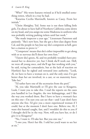"Who?" His worn features twisted as if he'd smelled something rotten, which in a way he had.

"Katarina Cecilia Martinelli, known as Casey. From her initials."

"Christ Almighty, Ted. Some nut is out there killing little girls, I'm about to have half of Northern California come down on my head, and you assign me some Madonna in uniform who was probably writing parking tickets until last week."

"She made inspector a year ago," Lieutenant Patterson said patiently. "She's new here, but she got a first-class degree from Cal, and the people in San Jose say she's competent as hell, gave her a citation to prove it."

"'Competent' means that she's either impossible to get along with or so nervous she'll shoot her own foot."

"I know she's green, Al, and we probably wouldn't have promoted her to detective yet, but I think she'll work out. Hell, we were all young once, and she'll age fast working with you," he said, trying for camaraderie, but at the lack of reaction on Hawkin's face he sighed and retreated into authority. "Look, Al, we have to have a woman on it, and the only ones I've got better than her are involved, in a cast, or on maternity leave. Take her."

"I'd rather have one of the secretaries from the pool."

"Al, you take Martinelli or I'll give the case to Kitagawa. Look, I want you to take this. I read the reports on the cases you handled in Los Angeles, the two kidnappings, and I like the way you worked them. But I have to have a woman's face on this one—I'm sure you can see that—and I just don't have anyone else free. I'd give you a more experienced woman if I could, but at the moment I don't have one. Believe me, Al, I want this bastard caught, fast, and I wouldn't do this to you if I thought she'd be in the way. Now, will you have her, or do I give it to Kitagawa?"

"No, I want it. I'll take her. But you owe me."

"I owe you. Here's her file. I told her you'd want to see her at six."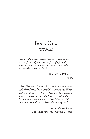# Book One

#### *THE ROAD*

*I went to the woods because I wished to live deliberately, to front only the essential facts of life, and see what it had to teach, and not, when I came to die, discover that I had not lived.*

> —Henry David Thoreau, *Walden*

*"Good Heavens," I cried. "Who would associate crime with these dear old homesteads?" "They always fill me with a certain horror. It is my belief, Watson, founded upon my experience, that the lowest and vilest alleys in London do not present a more dreadful record of sin than does the smiling and beautiful countryside."*

> —Arthur Conan Doyle, "The Adventure of the Copper Beeches"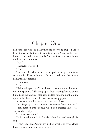### Chapter One

San Francisco was still dark when the telephone erupted a foot from the ear of Katarina Cecilia Martinelli, Casey to her colleagues, Kate to her few friends. She had it off the hook before the first ring had ended.

"Yes?"

"Inspector Martinelli?"

"Yes."

"Inspector Hawkin wants you to pick him up at the front entrance in fifteen minutes. He says to tell you they found Samantha Donaldson."

"Not alive."

" $N_0$ "

"Tell the inspector it'll be closer to twenty, unless he wants me in my pajamas." She hung up without waiting for a response, flung back the tangle of blankets, and lay for a moment looking up into the dark room. She was not wearing pajamas.

A sleep-thick voice came from the next pillow.

"Is this going to be a common occurrence from now on?"

"You married into trouble when you married me," Kate snarled cheerfully.

"I didn't marry you."

"If it's good enough for Harriet Vane, it's good enough for you."

"Oh, God, Lord Peter in my bed at, what is it, five o'clock? I knew this promotion was a mistake."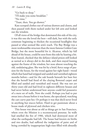"Go back to sleep."

"I'll make you some breakfast."

"No time."

"Toast, then. You go shower."

Kate scooped clothes out of various drawers and closets, and then paused with them tucked under her left arm and looked out the window.

Of all views of the bridge that dominated this side of the city, it was this one she loved the best—still dark, but with the early commute beginning to thicken the occasional headlights that passed at what seemed like arm's reach. The Bay Bridge was a more workmanlike structure than the more famous Golden Gate Bridge, but the more beautiful for it. Alcatraz, which lay full ahead of the house, could be seen from this side by leaning a bit. Kate leaned, checked that the defunct island prison still looked as surreal as it always did in the dark, and then stayed leaning against the frame of the window, her nose almost touching the old, undulating glass. She was hit by a brief, fierce surge of passion for the house, for the wood against her right hand—wood which that hand had stripped and sanded and varnished eighteen months before—and for the oak boards beneath her bare feet that she herself had freed of the cloying flowered carpet and filled and sanded and varnished and waxed. She was not yet thirty years old and had lived in eighteen different houses and had never before understood how anyone could feel possessive of a mere set of walls. Now she could. Perhaps you had to put sweat into a house before it was home, she speculated, watching the cars curve past her. Or perhaps it was that she'd never lived in anything but stucco before. Hard to get passionate about a house made of plywood and chicken wire.

This house was about as old as things get in San Francisco, where even the Mission is a reconstructed pretense. Its walls had smelled the fire of 1906, which had destroyed most of what the earthquake had left. The house had known six births and two deaths, had suffered the indignities of paint and of being crowded by inappropriate high-rises filled with absurdly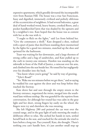expensive apartments, which greedily devoured the incomparable view from Russian Hill. The house was a true San Franciscan, fussy and dignified, immensely civilized and politely oblivious of the eccentricities of neighbors. It had several balconies, a great deal of hand-worked wood, heavy beams, crooked floors, and a pocket-handkerchief lawn that was shaded by the upstarts and by a neighbor's tree. Kate hoped that the house was as content with her as she was with it.

"I ought to flick on the lights," said Lee from behind her. "Give the commuters a thrill." Kate dropped a shoe, realized with a spurt of panic that she'd been standing there mesmerized by the lights for a good two minutes, snatched up the shoe and sprinted for the bathroom.

Toast was waiting for her downstairs, and a large thermos of strong coffee and a bag of sandwiches, and Kate pulled up to the curb in twenty-one minutes. Hawkin was standing on the sidewalk in front of the Hall of Justice, a raincoat over his arm, and climbed into the seat beside her. He tossed his hat negligently over his shoulder into the back.

"You know where you're going?" he said by way of greeting.

"Tyler's Road?"

"Yes. Wake me ten minutes before we get there," and so saying he wadded his coat against the door and was limp before they reached the freeway.

Kate drove fast and sure through the empty streets to the freeway entrance, negotiated the twists, merged into the southward lane without mishap. She was grateful for the reprieve from conversation, for although her round face was calm in the gray light and her short, strong fingers lay easily on the wheel, the fingers were icy and elsewhere she was sweating.

She left Highway 280 and pointed the car west over the coastal range, and in the gray light of early morning she made a deliberate effort to relax. She arched her hands in turn, settled herself back in the seat, and reached for the attitude she tried to have before a long run. Pace yourself, Kate, she thought. There's nothing you can't handle here, it's just another small step up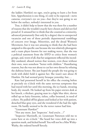the ladder; Hawkin's no ogre, you're going to learn a lot from him. Apprehension is one thing, it's only to be expected—news cameras, everyone's eye on you—but they're not going to see below the surface, nobody's interested in you.

True, it didn't help to know that she was there for a number of reasons that she wouldn't exactly have chosen and did not feel proud of. It amused her to think that she counted as a minority, advanced prematurely (but only by a degree) due to unexpected vacancies and one of those periodic departmental rumblings of concern over Image, Minorities, and the dread Women's Movement, but it was not amusing to think that she had been assigned to this specific case because she was relatively photogenic and a team player known for not making waves, that she was a political statement from the SFPD to critics from women's groups, and, worst of all, that her assignment reflected the incredibly outdated, absurd notion that women, even those without their own, were somehow "better with children." Humiliating reasons, but she was not about to cut her own throat by refusing the dubious honor. She just hoped the people she was going to work with didn't hold it against her. She wasn't sure about Al Hawkin. He had seemed pretty brusque yesterday, but.…

Kate had presented herself in his office the evening before at precisely six o'clock with the same nervous symptoms that had stayed with her until this morning, the icy hands, sweating body, dry mouth. He looked up from his paper-strewn desk at her knock, a thickset, graying man in a light blue shirt, sleeves rolled up on hairy forearms, tieless, collar loosened, in need of a shave. He pulled off his glasses and looked at her with patient, detached blue-gray eyes, and she wondered if she had the right room. He hardly seemed to be the terror rumor had him.

"Lieutenant Hawkin?"

"Not any more. Just 'Inspector.' And you're…?"

"Inspector Martinelli, sir. Lieutenant Patterson told me to come here at six o'clock." She heard her voice drift up into a question mark, and kicked herself. You will not be a Miss Wishy-Washy, she ordered herself fiercely.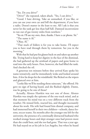"Yes. Do you drive?"

"Drive?" she repeated, taken aback. "Yes, I can drive."

"Good. I hate driving. Take an unmarked, if you like, or you can use your own car and bill the department, if you have a radio. Doesn't matter in the least to me. All I ask is that you never let the tank get less than half full. Damned inconvenient to run out of gas twenty miles from nowhere."

"Yes sir. I'll use my own, then, thanks. I have a car phone. Sir." "The name is Al."

"Okay, Al."

"That stack of folders is for you to take home. I'll expect you to have read through them by tomorrow. See you in the morning."

With that he had put his glasses back on and taken up another file. Trying hard to keep her dignity in the face of the dismissal, she had gathered up the armload of papers and gone home to read into the early hours. First, however, she had filled the tank. And checked the oil.

A generous ten minutes before they arrived Kate spoke his name tentatively, and he immediately woke and looked around him. A few fat drops hit the windshield. She flicked on the wipers and glanced over at him.

"Looks like we'll be needing those raincoats," she offered. He gave no sign of having heard, and she flushed slightly. Damn, was he going to be one of those?

Actually, Alonzo Hawkin was not one of those. Alonzo Hawkin was simply the epitome of the one-track mind, and at that moment his mind was on a very different track from the weather. He missed little, reacted less, and thought incessantly about his work. His wife had found him dismal company, and had immersed herself in their two children—schools, dance lessons, soccer teams. Six months after the younger one left for the university, the presence of a continually distracted husband who worked strange hours and slept stranger ones had proven more than she could bear, and she too had gone. That was a year ago. He had stayed on at his job in Los Angeles, but when he heard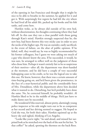of the opening in San Francisco and thought that it might be nice to be able to breathe in the summer, he applied for it and got it. With surprisingly few regrets he had left the city where he had lived all his adult life, packed up his books and his fish tanks, and come here.

Hawkin woke, as he always did outside of his own bed, without disorientation, his thoughts continuing where they had left off. In this case they ran a close parallel with those going through Kate's mind. Hawkin strongly suspected that he, the new boy, had been thrown this very sticky case in order to save the necks of the higher-ups. He was an outsider, easily sacrificed, in the event of failure, on the altar of public opinion. If he failed, well, they would say, he was so highly recommended by his former colleagues, but I guess we were asking too much of a guy who doesn't know the area. If he succeeded, it would, he was sure, be arranged to reflect well on the judgment of those who chose him. Perhaps it wasn't entirely fair to be so suspicious of their motives—after all, the department was short-handed at the moment, and he did have a couple of very successful kidnapping cases to his credit, so he was the logical one to take this one. He knew, however, that there was a certain amount of time-buying going on, and he'd been given the prominence, in the face of a near-hysterical public and the considerable force of Mrs. Donaldson, while the department above him decided what it wanted to do. Disturbing, but he'd probably have done the same. No, he corrected himself, he probably wouldn't. Al Hawkin liked to be in the middle of things. He'd just have to make damn sure he succeeded.

He wondered if this reserved, almost pretty, alarmingly young police inspector at his side might turn out to be as competent as her record and her driving seemed to suggest. He hoped to God she was, for both their sakes. Hawkin squinted up at the heavy sky and sighed, thinking of Los Angeles.

"Looks like you're right," he said aloud, and missed her surprised look as he stretched over the back of the seat for his hat. "Is that coffee?" he asked, spotting the thermos on the back floor.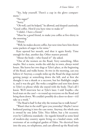"Yes, help yourself. There's a cup in the glove compartment."

"No sugar?"

"Sorry."

"Oh well, can't be helped," he allowed, and slurped cautiously. "Good coffee. How'd you have time to make it?"

"I didn't. I have a friend."

"Must be a good friend, to make you coffee at five-thirty in the morning."

" $Mmm$ ."

"Well, he makes decent coffee, but next time have him throw some packets of sugar in for mine."

Kate opened her mouth, and shut it again firmly. Time enough for that, another day. Other matters pressed.

"About the body—who found it?" she asked.

"One of the women on the Road, Terry something, Allen maybe. She's a nurse, works the odd day in town, always weird hours. She leaves her two dogs at Tyler's place, at the beginning of the Road, and walks home. At two in the morning, can you believe it? Anyway, a couple miles up the Road the dogs started getting jumpy at something down the hill, and at first she thought it was a skunk or a raccoon, but her flashlight caught it, and it was the girl. She woke a neighbor and sent him down to Tyler's to phone while she stayed with the body. That's all I know. We'll interview her at Tyler's later. I told Trujillo—the local man on the case?—to round up everyone on the Road and bring them down. We couldn't possibly do a door-to-door—it'd take us a week."

"The Road is bad? Is that why the woman has to walk home?"

"Wasn't that in the stuff I gave you yesterday? Maybe I never bothered putting it into the case notes. Anyway, the whole area is owned by one John Tyler. Nice fellow, but a bit eccentric even by California standards—he regards himself as some kind of modern-day country squire living on a landed estate, with overtones of an ecological garden of Eden. No electrical lines into the area, no telephones, and cars allowed up the Road only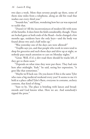two days a week. More than seventy people up there, some of them nine miles from a telephone, along an old fire road that washes out every third year."

"Sounds fun," said Kate, wondering how her car was expected to tackle that.

"Doesn't it? All the inconveniences of modern life with none of the benefits. It does limit the field considerably, though. There are locked gates at both ends of the Road—locks changed a few months ago, residents have the only keys—and the body was found about two and a half miles up."

"Was yesterday one of the days cars were allowed?"

"Trujillo says yes, and that people who work in town tend to shop for groceries and such those days and drive up at night, so nobody pays much attention to cars on Monday nights."

"Great. Well, if it's a dirt road there should be tracks left, if they get to them soon."

"Depends on what time they were put there. They had rain here after midnight. Yeah," he said, seeing her expression, "it goes like that sometimes."

"Maybe we'll luck out. Do you know if this is the same Tyler who runs a big medieval weekend every year? It seems to me it's held at a place called Tyler's Barn, everyone in costume, archery contests, that kind of thing."

"Sure to be. The place is bristling with lances and broadswords and God knows what. Here we are. And somebody's tipped the press."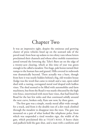### Chapter Two

It was an impressive sight, despite the ominous and growing cluster of press vehicles lined up on the seaward side of the paved road, from beat-up sedans to two shiny vans whose letters proclaimed their channels and whose silver mobile transmitters jutted toward the lowering sky. Tyler's Barn sat on the edge of a twenty-acre clearing, which at this time of year was green enough to be called a meadow. Two huge, pale horses turned their rumps to the human fuss and grazed. Hills covered in redwoods rose dramatically beyond. There actually was a barn, though from here it was nearly hidden behind a big, old wooden house (lodge was the word that came to mind) and a vast, open-sided shed with a rusting, corrugated metal roof draped with leafless vines. The shed seemed to be filled with automobiles and farm machinery, but from the Road it was nearly obscured by the high wire fence, intertwined with more bare vines, that had lined the Road for the last few miles and that continued solidly around the next curve, broken only, Kate saw now, by three gates.

The first gate was a simple, sturdy metal affair wide enough for a truck, and from it the double ruts of a dirt track climbed through the meadow to disappear into the trees. The gate was mounted on a pair of what looked like telephone poles, from which was suspended a tired wooden sign, the width of the gate, which proclaimed this as TYLER'S ROAD. A heavy chain and padlock held the gate shut, and a man with a uniform and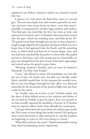regulation rain slickers, sitting in a police car, ensured it stayed that way.

A quarter of a mile down the Road they came to a second gate. This one was simple, low, and wooden, graced by an archway and more vines (some leaves on these—were they roses?), tastefully accompanied by another large uniform and slickers. The third gate was metal like the first, but twice as wide, and opened into the barn's yard. At Hawkin's directions Kate turned into this gate, which was standing open, and held up her ID. The guard waved them through into an acre or more of gravel, a rough triangle edged by the long shed, the house (which was even larger than it had appeared from the Road), and the sprawling barn, to which sheds and lean-tos of various shapes, sizes, and eras had been attached like barnacles to a host shell. She pulled up next to the house, and a slim young man in a beautifully cut gray suit emerged from the door of one of the barn's appendages and trotted across the gravel to greet them.

"Morning, Inspector Hawkin, and you must be Inspector Martinelli. I'm Paul, Paul Trujillo."

"Casey," she offered in return. His handshake was trim like the rest of him, his hands neat, his dark eyes friendly under black, carefully tousled hair. At the moment the wouldn't-youlike-to-run-your-fingers-through-my-hair effect was flattened somewhat by the thousands of tiny pearls of light rain, but Kate could see the intent.

"So, Trujillo, what do we have so far?" Hawkin asked, and the three of them drifted across to the isolation and shelter of the car shed for Trujillo to give his report. Kate was amused to see him actually squaring his shoulders a fraction as if Hawkin were his superior officer rather than officially his counterpart.

"I just got down from the scene about ten minutes ago myself, but Tyler seems to have things here under control. He's giving us three rooms downstairs to take statements in, and the residents are beginning to come in. He's even doing us a lunch."

"What did you find at the scene?" Hawkin demanded, waving away these housekeeping chores impatiently.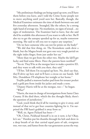"My preliminary findings are being typed up now, you'll have them before you leave, and I told the Crime Scene people not to move anything until you'd seen her. Basically, though, the Medical Examiner estimates the time of death between one and five yesterday afternoon. Strangled, like the others, by a strong right hand of average size. No mutilation, no signs of sexual…no signs of molestation. The Examiner had to leave, but she said she'd be available this afternoon if you want to talk to her. She'll also try to get the autopsy speeded up for us, maybe tomorrow morning. She said to tell you not to expect any surprises."

"Do we have someone who can test for prints on the body?"

"We did that first thing, sir. The Kromekote cards drew a blank, but the Magna brush test gave one very rough partial on the right index finger, from just under her ear."

"More than we got from the other two. Maybe the lab'll get lucky and find some fibers. Have the parents been notified?"

"Yes sir. They'll be at the morgue later to make a positive ID, and they want to talk with you then, they said."

"I'll bet. Tell them I'm occupied up here. No, don't say that, they'll drive up here and we'll have a circus on our hands. Tell Mrs. Donaldson I'll telephone her tonight at her home."

Trujillo pulled a maroon leather pad from his trouser pocket and a gold pen from inside his jacket and made a note.

"Deputy Harris will be at the morgue, too—" he began. "Who?"

"Harris, the man in charge of investigations from Santa Clara County. If she died there, which the doc thought likely, there's the question of jurisdiction."

"God, you'd think they'd all be wanting to give it away, and instead of that we've got four counties fighting for it. I'm surprised the FBI hasn't grabbed it away from us."

"Well, sir, Agent Pickard has been—"

"Oh, Christ, Pickhead himself is in on it now, is he? Okay, let's see." Hawkin put his thumbs through his belt and drew in a deep breath of air that carried equal parts of salt, evergreen tree, wet rust, and fumes from the van generators across the way.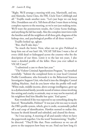"Right. We'll arrange a meeting with you, Martinelli, and me, and Alameda, Santa Clara, the FBI, Uncle Tom Cobbleigh and all." Trujillo made another note. "Let's just hope we can keep Mrs. Donaldson out of it. Tell them all that I want them to bring complete reports to the meeting, so we're not just making noise. We'll want the postmortem results, the Crime Scene findings, and anything the lab has ready. Also the complete interviews with the families and all the neighbors of all three girls, diagrams of the kidnap sites, and psychological profiles of all three victims."

Trujillo looked up, aghast.

"But, that'll take days."

"So much the better. Now, what can we give Pickhead to keep him out of our hair? Ah, VICAP. Tell him I want a list of every child dead or kidnapped across the country who fits the description of our three. Limit it to the last ten years. I also want a detailed profile of the killer. Have you ever talked to VICAP, Casey?"

"I submitted a case to them last year."

"The Violent Criminal Apprehension Program," he mouthed scornfully. "Submit the completed form to your local Criminal Profile Coordinator, who forwards it to the Behavioral Sciences Investigative Support Unit, who feed it into the Almighty Central Adding Machine. And do you know what the profile will read? 'White male, middle income, above average intelligence, grew up in a dysfunctional family, juvenile record of minor crimes involving fire-setting and cruelty to animals, may or may not be married, all his neighbors find him likeable but quiet.' End quote."

Kate wondered if she was expected to say something along the lines of, "Remarkable, Holmes!" It was just a bit too easy to mock the FBI's profile system, which, give it credit, occasionally pulled off a real coup of identification. Hawkin seemed to realize this, because he shook himself and subsided, and cleared his throat.

"As I was saying. A meeting of all and sundry when we have the paperwork together. Use the word 'brainstorming,' Trujillo," he directed. "They'll like that. Press conference so we can all prove to the taxpayers how busy we are. Find out how long it's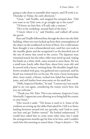going to take them to assemble their reports, and I'll work it in. Thursday or Friday, the early afternoon."

"Great," said Trujillo, and snapped his notepad shut. "Did you want to see Tyler now, or go straight up to the scene?"

"I'd better see him first, it'll only take a minute."

"He's in his workshop, around back of the barn."

"I know where it is," said Hawkin, and walked off across the gravel.

Kate and Trujillo followed him through the door into the little building, where two men looked up from their contemplation of the object on the workbench in front of them. For a wild instant Kate thought it was a dismembered arm, until her eyes took in the metallic gleam and she recognized it as the detached arm of the suit of armor that stood in the corner. The Japanese man remained seated, but the other, older man stood up and, wiping his hands on a white cloth, came around to meet them. He was a small man, barely taller than Kate, about forty years old, and he moved with a heavy, twisting limp. His shoulder length hair, brown streaked with gray, was gathered into a ponytail, and his beard was trimmed low on his jaw. He wore a loose homespun shirt, more nearly a blouse, tucked into faded but ironed blue jeans, and soft leather boot-moccasins on his small feet.

"Hello, Inspector Hawkin," he said. "I cannot say I am exactly glad to see you again, considering the reason you're here, but you are welcome."

"Thank you, Mr. Tyler. This is my assistant, Inspector Casey Martinelli. I appreciate your allowing us to bring half the county to your house."

Tyler waved it aside. "The house is used to it. Some of the residents are setting up the tables Paul asked for. I left it to them; hauling furniture around isn't my specialty, and I had to come out here and get Toshiro started." He looked embarrassed. "I would have asked him to come some other time, but I made the arrangements months ago for him to be here, and I couldn't reach him this morning to cancel them. I hope it doesn't—" He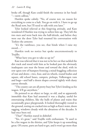broke off, though Kate could finish the sentence in her head: "—seem callous."

Hawkin spoke calmly. "No, of course not, no reason for everything to come to a halt. You go on with it. I have to go up the Road now, but I'll need to talk with you later."

Tyler looked relieved at this forgiving attitude, and Kate wondered if Hawkin was trying to soften him up. They left the two men and went back into the half-drizzle, and before they were out the door Tyler had resumed his conversation with Toshiro the armorer.

"It's the vambrace, you see, that binds when I raise my sword.…"

Hawkin took no notice but spoke unceremoniously to Trujillo.

"What have you got to take us up in?"

Kate was relieved that it was not to be her car that tackled the dirt track and stood with him as he looked past the obviously inadequate cars near the house and toward the shed, with its row upon row of bumpers fronting a mind-boggling collection of rust and dents—two, four, and six wheels, round bodies and square, old school buses, campers, pickups, Volkswagen vans and bugs—and half a dozen shapes covered tightly with dusty canvas shrouds.

"The county cars are all pretty busy but Tyler's lending us his wagon. It'll go anywhere."

He pointed to an object so large, so old, and so apparently immobile that Kate had assumed it was a display, useful for entertaining children, like the hulls of planes and trains that occasionally grace playgrounds. It looked thoroughly rooted to the ground, resting on cracked tires as high as Kate's waist, doors sagging, windows cloudy with the abrasions of the decades. It had once been red.

"That?" Hawkin stared in disbelief.

"Yes, it's great," said Trujillo with enthusiasm. "It used to be a fire wagon in the thirties, and Tyler keeps it up something great. Of course, parts are hard to get, and it won't go more than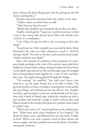forty without the doors flying open, but for getting up the hill there's nothing like it."

Hawkin turned his attention from the vehicle to the man.

"I didn't realize you knew him so well."

"Tyler? Known him for years."

"Maybe they should've put somebody else on this case, then."

Trujillo smiled gently. "Inspector, you'd be hard put to find a cop in the county who doesn't know Tyler and consider him a friend. It's a small place."

"I see. Okay, let's get on with it. Are you going to drive this thing?"

"Good God, no. Tyler wouldn't trust me with his baby. Mark Detweiler's the only one who's allowed to touch it. He'll be driving. Mark?" He went to the door and stuck his head inside. "Mark! Anybody seen Mark?"

After a few minutes of confusion a slow mountain of a man, gray braids reaching to the waist of his ancient jeans, plaid shirt hidden by a beard nearly as long, emerged to plant his heavy boots on the plank steps and survey the yard through a pair of smudged horn-rimmed glasses held together by a twist of wire and dirty duct tape. One gold earring glinted through the foliage.

"I'm coming," he rumbled. "Just hold your horses. Just wanted to use the john. Kinda fun to be able to flush." He grinned merrily at them, revealing a missing front tooth amidst the gray fringe, and climbed up into the driver's seat. Hawkin watched, openmouthed, as the man methodically tied the door shut with a hunk of frayed rope, jerked the window up with a pair of pliers and inserted a wedge to hold it almost shut, and fished around in the mends of his jeans for a pocket, from which he pulled a key.

"What's the matter, Al," murmured Kate as she climbed past him. "Didn't have such classy chauffeurs in Los Angeles?" He shook his head, once, and followed her into the back, Trujillo in front. With a roar and a massive cloud of blue exhaust the starter caught, and they rumbled out onto the Road, a leviathan among the minnows.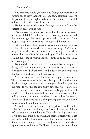#### *24 Laurie R. King*

The reporters would get some fine footage for their pain of turning out so early, thought Kate, and saw a scramble to record the parade of wagon, high-axled coroner's van, and the handful of lesser vehicles that brought up the rear.

Trujillo turned as they went through the gate and saw the expression on Hawkin's face.

"We do have the four-wheel drives, but they're both already up the Road. I didn't think you'd mind this thing, and we needed the others to get the teams up there and to go up notifying people. I hope you don't mind," he repeated, hesitantly.

"Oh, no, it lends the proceedings an air of dignified purpose, evoking the ponderous wheels of justice turning. Don't let me forget to use that for the news cameras, Casey, in case they missed the symbolism. It's quite all right, Trujillo, it serves to remind me of the unswerving support given us by our superiors. So encouraging."

Trujillo did not seem entirely encouraged by this response, thought Kate, straight-faced, but any answer was cut short as the wagon turned a hard corner and juddered to an abrupt halt that had all but the driver off their seats.

"Brakes work fine," was Detweiler's phlegmatic comment. The car face-to-face with their very bumper, filled with whitefaced passengers, reversed into a wide spot a hundred yards up the road. It was the county's shiny new four-wheel-drive car, and it contained three women, two men, and a gaggle of excited children, all of whom watched the procession in wonder. The uniform of the man behind the wheel did not look entirely fresh, Kate noticed, and she had a sinking feeling that her own khaki trousers would soon look the same.

"That'll be the second bunch, coming down," said Trujillo. "Like I told you on the phone, I don't know how many of them we'll persuade to come down to Tyler's, but we'll get as many as we can. This third body will shake them, especially the ones with kids, and they'll cooperate more than they might otherwise. Some of them, though, you'll have to just go see. There's six or eight who are real hermits. You'd need a court order to pry them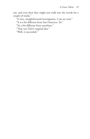out, and even then they might just walk into the woods for a couple of weeks."

"A nice, straightforward investigation, I can see now."

"It is a bit different from San Francisco. Sir."

"It's a bit different from anywhere."

"That was Tyler's original idea."

"Well, it succeeded."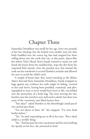### Chapter Three

Samantha Donaldson was small for her age, forty-two pounds at her last checkup, but she looked even smaller now, her thin body huddled into the rotten log that had stopped her from rolling down into the creek that ran, at this point, about fifty feet below Tyler's Road. Kate's hands wanted to reach out and brush the leaves from the tumbled hair, wipe the dirt from the surprised little mouth, close the puzzled eyes, but instead she took out her notebook to record Hawkin's remarks and allowed her eyes to avoid the child's neck.

A couple of hours later they stood watching as the lifeless object that had been Samantha Donaldson, hands wrapped in bags against any evidence her nails might be hiding, covered in dirt and leaves, having been prodded, examined, and photographed in ways it never would have been in life, was folded into the anonymity of a body bag. The men moving the tiny burden onto the stretcher were well used to death, but there was none of the customary easy black humor here.

"You okay?" asked Hawkin as the disturbingly small parcel was carried past them.

"I'm not about to faint, Al," she snapped. "I've seen dead bodies before."

"Yes," he said, responding not at all to her tone. "But a dead child is a terrible thing."

"Yes." And because his voice was honest and his own loathing lay openly on his face, she answered in kind.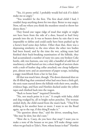"Yes, it's pretty awful. I probably would feel sick if it didn't make me so angry."

"You wouldn't be the first. The first dead child I had, I couldn't keep anything down for two days. Better to stay angry. Now, tell me where you think the murderer stood to throw her down there."

They found one vague ridge of mud that might or might not have been from the side of a shoe, braced to hurl forty pounds into the air. It was so beaten down by rain that it was impossible to define and could easily have been pushed up by a horse's hoof some days before. Other than that, there was a depressing similarity to the sites where the other two bodies had been found, and by the time the wet, aching team had finished their back-breaking examination of the hillside, they had accumulated a number of rusty tin cans; one broken Coke bottle, old; two buttons, one very old; a handful of odd bits of machinery; a half-buried car tire; a short length of ancient chain with a stub of leather dog collar attached; one cheap ballpoint pen, almost new; and an assortment of paper scraps, including a soggy matchbook from a bar in San Jose.

All that was much later, though. The doors slammed shut on the ill-filled bag that contained what had once been a little girl, the stoic team started down the hillside with their own, smaller, evidence bags, and Kate and Hawkin ducked under the yellow tapes and climbed back into the wagon.

"Back to home base?" inquired Detweiler.

"No, not much point in it yet." A couple with baby, child and dog trudged by, all in bright nylon ponchos. The woman smiled shyly, the child stared from the man's back. "They'll be drifting in for another hour or more. I want to see the Road again, up to the top, if this thing'll make it."

"No question about that," said the driver, sounding hurt. "She may be slow, but she's sure."

"Slow she is. Casey, do you have that map? I want you to make a note of the houses as we pass. It'll make things easier when we get back to Tyler's. Now, whose house is that?" Hawkin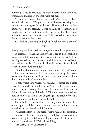pointed past the driver's nose to a shack near the Road, and Kate prepared to mark it on the map with her pen.

"That ain't a house, that's Jenny Cadena's goat shed." Kate wrote in the name. "Only now Harry Gustavson's using it to store the window glass for his house." She crossed out the first name, wrote in the second. "Come to think of it, though, Bob Riddle was staying in it for a while after his brother Ben threw him out. I wonder if he's still there?" He peered incuriously at the blank walls as they passed.

Kate looked at the map and sighed. "Anybody have a pencil?"

 $\Diamond \Diamond \Diamond$ 

Slowly they rumbled up the narrow, muddy road, stopping twice to let carloads of residents slip by and once to help change a county car's flat tire. Slowly they reached the upper end of the Road, guarded and heavily gated, and slowly they turned back. Just below the Road's summit Hawkin leaned forward and touched Detweiler's shoulder.

"Stop here for a minute, would you? Come with me, Casey."

The two detectives walked thirty yards back up the Road, rocks prodding the soles of their city shoes, and stood looking down at a tumble of rock and brush.

"That's where Tina Merrill was found. Her father had a heart attack last month, did you know that? Her mother's lost twenty pounds and eats tranquilizers, and her honor-roll brother is failing his last year of high school. The murderer dropped her here on the Road like a sack of garbage, and after a few days something dragged her off down the hill."

The hillside was nearly silent, with only a few birds, the click of the engine, their breathing. The sun came out and Kate began to feel warm, but Hawkin didn't move.

"What is he after?" he muttered, staring hard up the dirt track. He looked as if he were straining to look back three months, to see that day in late fall when a figure had carried its macabre burden down the road. "What is he doing?"

"I'm sorry, I don't understand."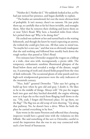"Neither do I. Neither do I." He suddenly looked at her, as if he had just noticed her presence, and began dutifully to explain.

"The bodies are unmolested; he's not the more obvious kind of pedophile. It isn't money; there's no ransom. He just picks them up, so carefully that so far he's been invisible, and strangles them. After that he removes their clothing and leaves them on or near Tyler's Road. Why here, a hundred miles from where he's picked them up? Why is he doing this?"

He cocked one eyebrow at her and turned back to the waiting behemoth, and though she knew he wasn't expecting an answer, she wished she could give him one. All that came to mind was, "So maybe he's a nut case," and that was so obviously inadequate that she said nothing and followed him meekly back down the rough surface that passed as Tyler's Road.

Five minutes later Detweiler stopped the wagon on a hilltop at a wide, clear area with, incongruously, a picnic table. The temporary, enthusiastic sunshine illuminated glimpses of the Road below them and revealed a wedge of the distant, turgid sea. A scattering of roofs and cleared fields peeped from the vista of dark redwoods. The occasional gleam of solar panels and two high-tech windpowered generators were the only indicators of the twentieth century.

"Nice, huh?" grunted Detweiler. "Tyler says he's going to build up here when he gets old and gray. I doubt it. He likes to be in the middle of things. Always will." He put the wagon back into gear and they lurched downhill, the engine whining now as it kept the ex-fire truck from flinging itself down to the sea. "Oh, yeah, I forgot old Peterson's place. It's up there, see the flag?" The flag was an old scrap of torn sheeting. "Up along that pathway. No, he doesn't have a drive. When he built the place he carried everything in by foot."

Kate wrote in the name Peterson and reflected that a housing inspector would have a grand time with the violations on this hillside. She said something of the sort to Detweiler, careful to avoid the impression that she was in any way connected with such a low breed of bureaucrat.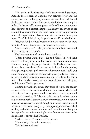"Oh, yeah, well, what they don't know won't hurt them. Actually there's been an ongoing war between Tyler and the county over the building regulations. At first they said that all the houses had to be wired for power, even if there wasn't any for miles. So there's half a dozen places with wall plugs and empty light fixtures, and kerosene lamps. Right now he's trying to get around it by having the whole Road made into an experimental, nonprofit organization. Has a state senator on his side; he may do it yet. That's Riddle's place, do you have that?" he asked Kate.

"Yes, Ben Riddle, whose brother Bob may or may not be there or in the Cadena-Gustavson goat shed-storage barn."

"Clear as mud, eh?" He laughed heartily, and Kate wondered if he ever ran out of clichés.

The litany continued to wind with the Road.

"That's Brother Luke's place. He and Maggie've lived there since Tyler first got the idea. He used to be a monk somewhere. Not now, though. They've got five kids. The Dodsons live there, funny place, real dark. Nice clearing in back for the ponies, though. Angie's little girl Amy loves her pony. And I told you about Vaun, way up there? She's an artist, real good one." Visions of castles and maidens with starry-eyed unicorns danced in Kate's head. "The Newborns—those little house things are for the pigs. And Tommy Chesler you know."

Coming down the mountain they stopped to pull the county car out of the creek bed into which its four driven wheels had taken it, and as they continued down, they picked up several parties of chattering hill folk who might easily have been going to a hoedown rather than to a murder interrogation. (What is a hoedown, anyway? wondered Kate.) Kate found herself wedged between Hawkin and a very large, damp young man who smelled of dog, and with an even damper and more fragrant baby on her lap. After ten minutes a high voice from somewhere in the front asked if anyone had Ivanhoe.

"Is that a disease?" wondered Kate aloud.

"It's my baby," the voice answered.

"Is it hairless and wet?"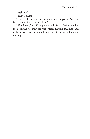"Probably."

"Then it's here."

"Oh, good. I just wanted to make sure he got in. You can keep him until we get to Tyler's."

"Thank you," said Kate gravely, and tried to decide whether the bouncing was from the ruts or from Hawkin laughing, and if the latter, what she should do about it. In the end she did nothing.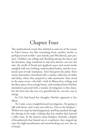### Chapter Four

The multicolored crowd that whirled in and out of the rooms in Tyler's house was like something from another world, or perhaps several worlds—part Amish, part Woodstock, part pioneer. Children ran yelling and shrieking among the knees and the furniture, dogs wandered in and were thrown out into the rain, the smells of bread and spaghetti sauce and wood smoke mingled with wet clothing, underwashed bodies, and the occasional aura of stale marijuana. Tyler had given the police three rooms downstairs, furnished with a motley collection of tables and desks, where they prepared to take statements. Kate stood in the main room—the hall—with its fifteen-foot ceilings and the floor space of an average house, and wondered how Hawkin intended to proceed with a murder investigation in this chaos. For the first time she was very grateful that he, not she, was in charge.

As if he had heard her thoughts Hawkin appeared at her elbow.

"As I said, a nice straightforward investigation. I'm going to talk with them, and I want you with me. Over at the fireplace." Within two steps he had disappeared, and Kate pushed through the throng in his wake, wishing that her mother had married a taller man. At the massive stone fireplace, beneath a display of broadswords that fanned out in a sunburst, they stepped up onto the high hearthstones and stood looking out over the sea of heads.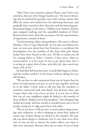"May I have your attention, please? Please, may I have your attention, there are a few things I need to say." He was not shouting, but he pitched his gravelly voice with a sharp volume that filled the room and reached into the adjoining doorways, and gradually faces turned in their direction and the battering pandemonium began to die down. Children were hushed, kitchen pans stopped crashing, and the assembled residents of Tyler's Road turned to hear what this necessary evil, this representative of oppression, wanted of them.

"Good morning, ladies and gentlemen. My name is Alonzo Hawkin. This is Casey Martinelli. As I'm sure you all know by now, we were sent down from San Francisco to coordinate the investigation into the murders of the three little girls whose bodies have been found in this area. I'd like to thank you all for coming down to Tyler's. I know—I have seen—what an inconvenience it is for some of you to get down here, but it is saving us a great deal of time, and after all, time saved may mean a life saved."

He had their full attention now. A small baby began to whine, and the mother settled it to her breast without taking her eyes off Hawkin.

"We are here to take statements from you in hopes that the pieces of information you give us can be put together and lead us to the killer. I don't need to tell you that the murderer is somehow connected with your Road. You all know that, and I expect that's why a lot of you are here. It is not nice to think that one of your neighbors might be linked to the murder of three children. Might even be that murderer." Eyes dropped, lips smiled nervously, and fear turned a crowded room into a lot of people trying not to edge away from each other.

"We are not here, I will say now, to worry about drugs, housing code violations, or who is sleeping in whose bed, unless of course any of those things are related to the murders. We may ask you about drugs or violations, but it's not what we're after. Any of you are free to choose the police officer you want to take your statement. Because there are so many of you to keep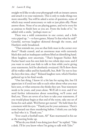straight we'd like to take your photograph with an instant camera and attach it to your statement. This is only to make things run more smoothly. You will be asked a series of questions, some of which may sound unnecessary or rude or just plain silly. Please answer them. None of us are playing games, and we're every bit as anxious to finish here as you are. From the looks of it," he added with a smile, "perhaps more so."

There was a mild commotion in one corner, and a little voice piped up, "—to have games, Mama? Is that what he said?" Grateful, nervous laughter skittered through the room, and Hawkin's smile broadened.

"That reminds me, you see that little man in the corner over there?" Heads craned, and an enormous man with extremely black skin and an inadequate uniform lifted an identifying hand. More laughter, now uncertain. "That's Sergeant Fischer. Bob Fischer hasn't seen his own kids for two whole days now, and if you want to send your kids to talk to him while you're giving your statements, he'd be absolutely overjoyed. He'll show them all his walkie-talkie and his handcuffs, but, Bob? Try not to lose the keys this time, okay?" Relaxed laughter now, which Hawkin gathered up in his final words.

"One last thing. I know it's a bit late for saying this, but I'd appreciate it if you'd not talk to each other about what you may have seen, or what someone else thinks they saw. Your statement needs to be yours, and yours alone. We'll sift it over, and if we need further information about something, we'll come and find you. There are seven of us here to take your statements, if you would please begin at that end of the room, take one set of forms for each adult. We'd better get started." He held them for a moment with his eyes. "Thank you for your assistance. There's some bastard out there murdering babies. I think you can help us find who it is. Thank you."

"Ever coach a football team, Al?" Kate murmured in his ear as the meeting broke up.

"What do you think I was doing just then?" he replied. "Take a desk. I'll let you know when I'm going to talk with Tyler."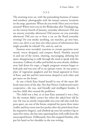#### $\Diamond \Diamond \Diamond$

The morning wore on, with the painstaking business of names and numbers, photographs with the instant camera, locations on the map, questions: Where do you work? Have you ever been arrested? Where were you on the Wednesday after Thanksgiving, on the twenty-fourth of January, yesterday afternoon? Did you see anyone yesterday afternoon? Did anyone see you yesterday afternoon? Did you see or hear a car on the Road yesterday evening? Do you smoke anything, use matches, go into bars, own a car, drive a car, have any other pieces of information that might possibly be related? On, and on, and on.

Answers were recorded, reactions to certain questions were noted, voices dropped, and tempers flared. Hawkin moved in and out of the rooms, chatting, encouraging, defusing hot spots, disappearing to walk through the mud to speak with the newsmen. Gallons of coffee and herbal tea were drunk, children were laid down for naps, a hugely pregnant woman began to look pale and was sent off to an upstairs room. At one point a plate of vegetarian spaghetti and hot bread appeared in front of Kate, and she and her interviewee slurped at each other and got sauce on the forms.

At one o'clock Kate found herself in one of the more difficult interviews of the day. Not that Flower Underwood wasn't cooperative—she was, and friendly and intelligent besides. It was her child who created the problems.

The child was a boy, or at least Kate assumed it was a boy, for the woman didn't correct her when she asked how old he was. He was an utterly irrepressible two-year-old who took her pens apart, ate one of the forms, emptied her purse three times (wallet and keys went into her pocket after she pried them from his inquisitive fingers), and climbed up onto his mother's lap to nurse five times, the last time squirting Kate with milk from the unoccupied breast. Deliberately. Into this stepped Hawkin, who put his hand on her shoulder as she was writing.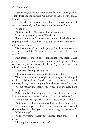"Pardon me, Casey, but when you're finished you might like to join Tyler and me upstairs. All the way to the top of the stairs, third door on your left."

Kate nodded her agreement and looked up to catch the tail end of an extremely odd expression on the woman's face.

"What is it?"

"Nothing, really." She was stifling amusement.

"Something about upstairs? Was that it?"

Flower Underwood's lips twitched, and finally she burst out laughing, which caused her son to pull back and stare at her, milky mouth agape.

"Well, you know," she said helpfully, "the downstairs of this place is pretty public. Everyone on the Road uses it like a living room."

"And upstairs—the top floor—is not public, you mean? Quite private, in fact?" The woman's eyes were sparkling, those of her son drooping as she caressed his back. "By private invitation only, that sort of thing, yes?"

"That sort of thing," she agreed.

"Have you been up there, to the top of the stairs?"

"Not in quite a while, though I don't imagine it's changed much. Or Tyler either, for that matter." It seemed a good memory, thought Kate, judging from the face across from her.

"Would you say that many of the women on the Road have 'been upstairs'?"

"A fair number. Probably most of the single women at one time or another, maybe, oh, a third of the attached ones."

"I would have thought that would cause a lot of trouble."

"Not here. In suburbia, perhaps, but not here. And Tyler's very careful not to get too close if there's another man involved who would object. He's a good man, very caring, very generous."

"With money?"

"With everything." Again the amused, fond smile crossed her face.

"He only invites women upstairs?"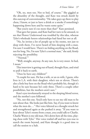"Oh, no, men too. Not to bed, of course." She giggled at the absurdity of the thought, and Kate was struck dumb by this outcrop of conventionality. "He takes guys up there to play chess, I know, or just to have a drink or a smoke if something's happening down here and he wants some quiet."

"But you're sure it's no more than that?" Kate persisted.

That gave her pause, and Kate had her turn to be amused, to see that Flower Underwood was troubled by this idea, whereas Tyler's wholesale hetero relationships had fazed her not at all.

"No, he invites a lot of people up to his rooms, not just to sleep with them. I've never heard of him sleeping with a man. I'm sure I would have. There's no hiding anything on the Road, not for long. No, I'm sure Tyler's a normal man," she said, firmly rejecting the possibility.

"'Normal.'"

"Well, straight, anyway. At any rate, he is very sweet. In bed, I mean."

This interview is getting out of hand, thought Kate, and tried to pull it back to earth.

"Does he have any children?"

"A couple for sure. He has a wife, or an ex-wife, I guess, who lives in L.A. with their daughter, who's ten or eleven. There's also a little boy here on the Road who's probably his, though it's hard to be sure because he's only three. There's a couple other possibilities, but the mothers aren't sure."

Kate's eyes involuntarily strayed to the sleeping blond terror, and the mother's eyes followed.

"No, not this one. You'd only have to see my old man to be sure about that. She looks just like him. Say, if you want to know what the men do.…" Her voice faltered as a thought struck her and strengthened again as she pushed it away. "If you want to hear about Tyler's rooms from a man, you could talk to Charlie. Charlie Waters is my old man. He's down here all the time, playing chess with Tyler." Her voice trailed off and her eyes rose to search the room beyond, and Kate thought it a good time to call the session to a halt.